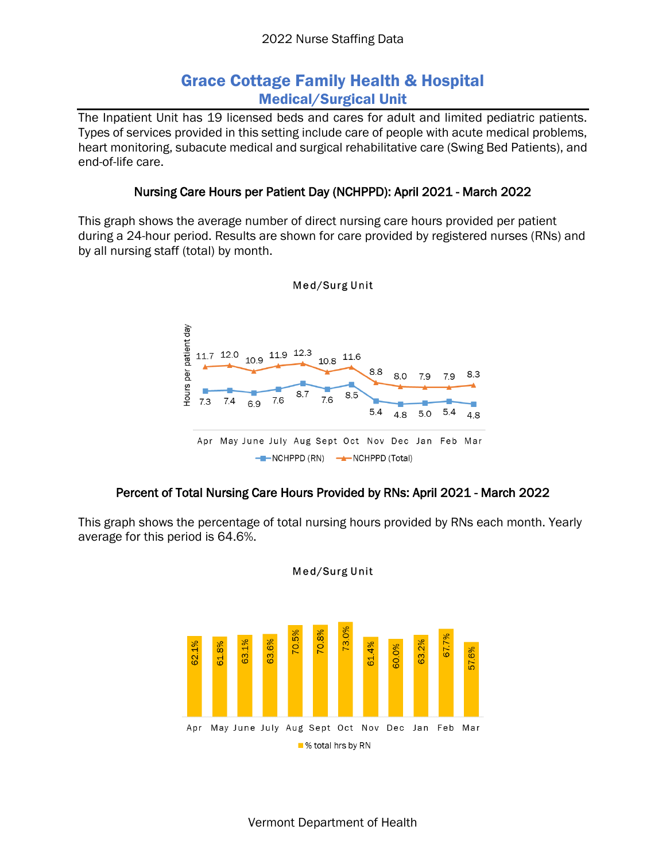# Grace Cottage Family Health & Hospital Medical/Surgical Unit

The Inpatient Unit has 19 licensed beds and cares for adult and limited pediatric patients. Types of services provided in this setting include care of people with acute medical problems, heart monitoring, subacute medical and surgical rehabilitative care (Swing Bed Patients), and end-of-life care.

### Nursing Care Hours per Patient Day (NCHPPD): April 2021 - March 2022

This graph shows the average number of direct nursing care hours provided per patient during a 24-hour period. Results are shown for care provided by registered nurses (RNs) and by all nursing staff (total) by month.



#### Med/Surg Unit

#### Percent of Total Nursing Care Hours Provided by RNs: April 2021 - March 2022

This graph shows the percentage of total nursing hours provided by RNs each month. Yearly average for this period is 64.6%.



Med/Surg Unit